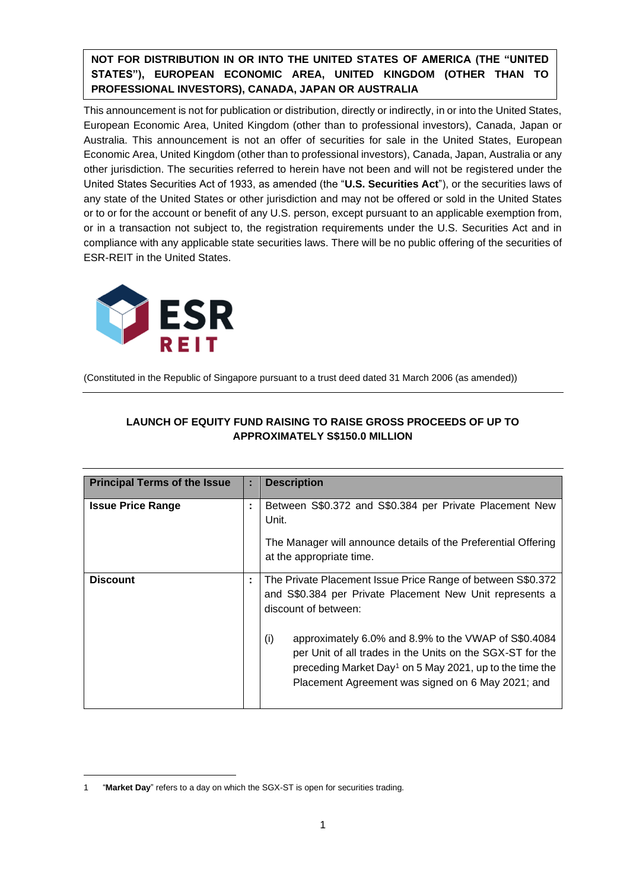**NOT FOR DISTRIBUTION IN OR INTO THE UNITED STATES OF AMERICA (THE "UNITED STATES"), EUROPEAN ECONOMIC AREA, UNITED KINGDOM (OTHER THAN TO PROFESSIONAL INVESTORS), CANADA, JAPAN OR AUSTRALIA**

This announcement is not for publication or distribution, directly or indirectly, in or into the United States, European Economic Area, United Kingdom (other than to professional investors), Canada, Japan or Australia. This announcement is not an offer of securities for sale in the United States, European Economic Area, United Kingdom (other than to professional investors), Canada, Japan, Australia or any other jurisdiction. The securities referred to herein have not been and will not be registered under the United States Securities Act of 1933, as amended (the "**U.S. Securities Act**"), or the securities laws of any state of the United States or other jurisdiction and may not be offered or sold in the United States or to or for the account or benefit of any U.S. person, except pursuant to an applicable exemption from, or in a transaction not subject to, the registration requirements under the U.S. Securities Act and in compliance with any applicable state securities laws. There will be no public offering of the securities of ESR-REIT in the United States.



(Constituted in the Republic of Singapore pursuant to a trust deed dated 31 March 2006 (as amended))

| <b>Principal Terms of the Issue</b> | ÷. | <b>Description</b>                                                                                                                                                                                                                                   |  |
|-------------------------------------|----|------------------------------------------------------------------------------------------------------------------------------------------------------------------------------------------------------------------------------------------------------|--|
| <b>Issue Price Range</b>            | ÷  | Between S\$0.372 and S\$0.384 per Private Placement New<br>Unit.<br>The Manager will announce details of the Preferential Offering<br>at the appropriate time.                                                                                       |  |
| <b>Discount</b>                     | ÷  | The Private Placement Issue Price Range of between S\$0.372<br>and S\$0.384 per Private Placement New Unit represents a<br>discount of between:                                                                                                      |  |
|                                     |    | (i)<br>approximately 6.0% and 8.9% to the VWAP of S\$0.4084<br>per Unit of all trades in the Units on the SGX-ST for the<br>preceding Market Day <sup>1</sup> on 5 May 2021, up to the time the<br>Placement Agreement was signed on 6 May 2021; and |  |

# **LAUNCH OF EQUITY FUND RAISING TO RAISE GROSS PROCEEDS OF UP TO APPROXIMATELY S\$150.0 MILLION**

<sup>1</sup> "**Market Day**" refers to a day on which the SGX-ST is open for securities trading.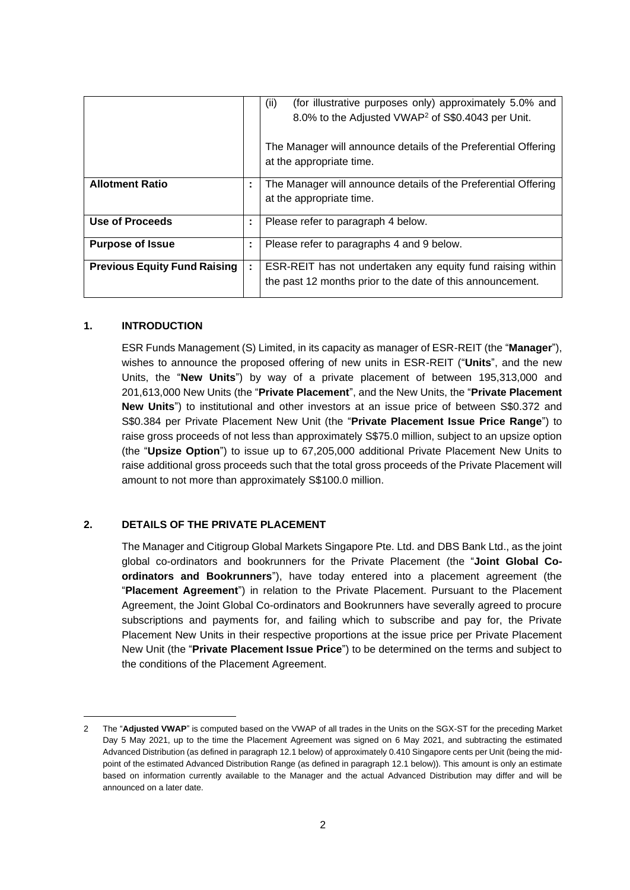|                                     |   | (for illustrative purposes only) approximately 5.0% and<br>(ii)<br>8.0% to the Adjusted VWAP <sup>2</sup> of S\$0.4043 per Unit. |
|-------------------------------------|---|----------------------------------------------------------------------------------------------------------------------------------|
|                                     |   | The Manager will announce details of the Preferential Offering<br>at the appropriate time.                                       |
| <b>Allotment Ratio</b>              | ÷ | The Manager will announce details of the Preferential Offering<br>at the appropriate time.                                       |
| Use of Proceeds                     | ÷ | Please refer to paragraph 4 below.                                                                                               |
| <b>Purpose of Issue</b>             | ÷ | Please refer to paragraphs 4 and 9 below.                                                                                        |
| <b>Previous Equity Fund Raising</b> | ÷ | ESR-REIT has not undertaken any equity fund raising within<br>the past 12 months prior to the date of this announcement.         |

### **1. INTRODUCTION**

ESR Funds Management (S) Limited, in its capacity as manager of ESR-REIT (the "**Manager**"), wishes to announce the proposed offering of new units in ESR-REIT ("**Units**", and the new Units, the "**New Units**") by way of a private placement of between 195,313,000 and 201,613,000 New Units (the "**Private Placement**", and the New Units, the "**Private Placement New Units**") to institutional and other investors at an issue price of between S\$0.372 and S\$0.384 per Private Placement New Unit (the "**Private Placement Issue Price Range**") to raise gross proceeds of not less than approximately S\$75.0 million, subject to an upsize option (the "**Upsize Option**") to issue up to 67,205,000 additional Private Placement New Units to raise additional gross proceeds such that the total gross proceeds of the Private Placement will amount to not more than approximately S\$100.0 million.

## **2. DETAILS OF THE PRIVATE PLACEMENT**

The Manager and Citigroup Global Markets Singapore Pte. Ltd. and DBS Bank Ltd., as the joint global co-ordinators and bookrunners for the Private Placement (the "**Joint Global Coordinators and Bookrunners**"), have today entered into a placement agreement (the "**Placement Agreement**") in relation to the Private Placement. Pursuant to the Placement Agreement, the Joint Global Co-ordinators and Bookrunners have severally agreed to procure subscriptions and payments for, and failing which to subscribe and pay for, the Private Placement New Units in their respective proportions at the issue price per Private Placement New Unit (the "**Private Placement Issue Price**") to be determined on the terms and subject to the conditions of the Placement Agreement.

<sup>2</sup> The "**Adjusted VWAP**" is computed based on the VWAP of all trades in the Units on the SGX-ST for the preceding Market Day 5 May 2021, up to the time the Placement Agreement was signed on 6 May 2021, and subtracting the estimated Advanced Distribution (as defined in paragraph 12.1 below) of approximately 0.410 Singapore cents per Unit (being the midpoint of the estimated Advanced Distribution Range (as defined in paragraph 12.1 below)). This amount is only an estimate based on information currently available to the Manager and the actual Advanced Distribution may differ and will be announced on a later date.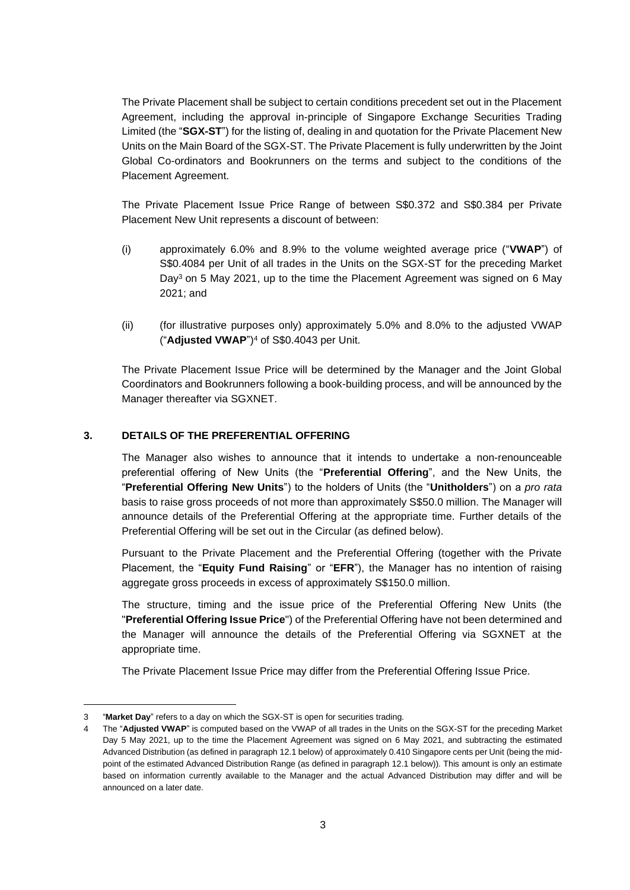The Private Placement shall be subject to certain conditions precedent set out in the Placement Agreement, including the approval in-principle of Singapore Exchange Securities Trading Limited (the "**SGX-ST**") for the listing of, dealing in and quotation for the Private Placement New Units on the Main Board of the SGX-ST. The Private Placement is fully underwritten by the Joint Global Co-ordinators and Bookrunners on the terms and subject to the conditions of the Placement Agreement.

The Private Placement Issue Price Range of between S\$0.372 and S\$0.384 per Private Placement New Unit represents a discount of between:

- (i) approximately 6.0% and 8.9% to the volume weighted average price ("**VWAP**") of S\$0.4084 per Unit of all trades in the Units on the SGX-ST for the preceding Market Day<sup>3</sup> on 5 May 2021, up to the time the Placement Agreement was signed on 6 May 2021; and
- (ii) (for illustrative purposes only) approximately 5.0% and 8.0% to the adjusted VWAP ("**Adjusted VWAP**") <sup>4</sup> of S\$0.4043 per Unit.

The Private Placement Issue Price will be determined by the Manager and the Joint Global Coordinators and Bookrunners following a book-building process, and will be announced by the Manager thereafter via SGXNET.

## **3. DETAILS OF THE PREFERENTIAL OFFERING**

The Manager also wishes to announce that it intends to undertake a non-renounceable preferential offering of New Units (the "**Preferential Offering**", and the New Units, the "**Preferential Offering New Units**") to the holders of Units (the "**Unitholders**") on a *pro rata* basis to raise gross proceeds of not more than approximately S\$50.0 million. The Manager will announce details of the Preferential Offering at the appropriate time. Further details of the Preferential Offering will be set out in the Circular (as defined below).

Pursuant to the Private Placement and the Preferential Offering (together with the Private Placement, the "**Equity Fund Raising**" or "**EFR**"), the Manager has no intention of raising aggregate gross proceeds in excess of approximately S\$150.0 million.

The structure, timing and the issue price of the Preferential Offering New Units (the "**Preferential Offering Issue Price**") of the Preferential Offering have not been determined and the Manager will announce the details of the Preferential Offering via SGXNET at the appropriate time.

The Private Placement Issue Price may differ from the Preferential Offering Issue Price.

<sup>&</sup>quot;Market Day" refers to a day on which the SGX-ST is open for securities trading.

The "Adjusted VWAP" is computed based on the VWAP of all trades in the Units on the SGX-ST for the preceding Market Day 5 May 2021, up to the time the Placement Agreement was signed on 6 May 2021, and subtracting the estimated Advanced Distribution (as defined in paragraph 12.1 below) of approximately 0.410 Singapore cents per Unit (being the midpoint of the estimated Advanced Distribution Range (as defined in paragraph 12.1 below)). This amount is only an estimate based on information currently available to the Manager and the actual Advanced Distribution may differ and will be announced on a later date.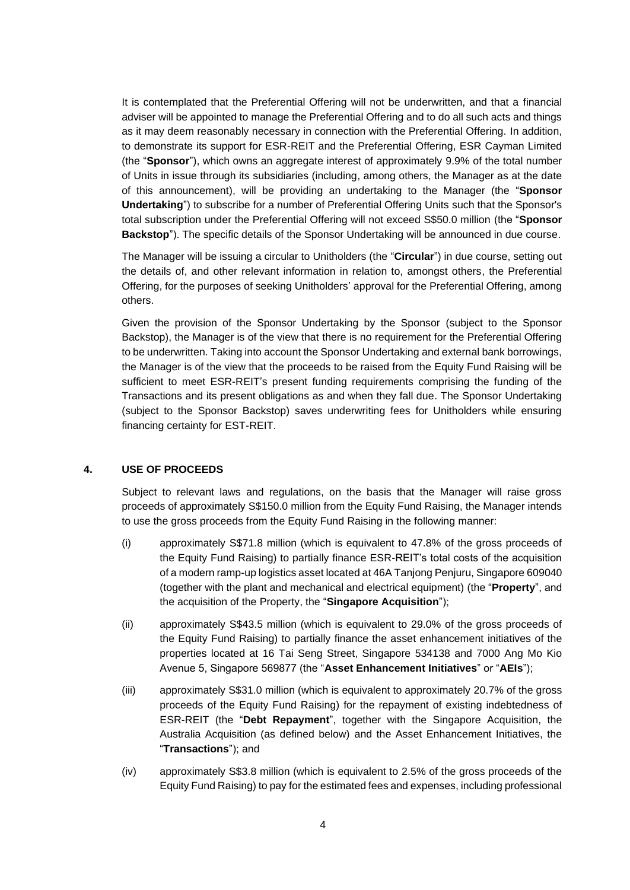It is contemplated that the Preferential Offering will not be underwritten, and that a financial adviser will be appointed to manage the Preferential Offering and to do all such acts and things as it may deem reasonably necessary in connection with the Preferential Offering. In addition, to demonstrate its support for ESR-REIT and the Preferential Offering, ESR Cayman Limited (the "**Sponsor**"), which owns an aggregate interest of approximately 9.9% of the total number of Units in issue through its subsidiaries (including, among others, the Manager as at the date of this announcement), will be providing an undertaking to the Manager (the "**Sponsor Undertaking**") to subscribe for a number of Preferential Offering Units such that the Sponsor's total subscription under the Preferential Offering will not exceed S\$50.0 million (the "**Sponsor Backstop**"). The specific details of the Sponsor Undertaking will be announced in due course.

The Manager will be issuing a circular to Unitholders (the "**Circular**") in due course, setting out the details of, and other relevant information in relation to, amongst others, the Preferential Offering, for the purposes of seeking Unitholders' approval for the Preferential Offering, among others.

Given the provision of the Sponsor Undertaking by the Sponsor (subject to the Sponsor Backstop), the Manager is of the view that there is no requirement for the Preferential Offering to be underwritten. Taking into account the Sponsor Undertaking and external bank borrowings, the Manager is of the view that the proceeds to be raised from the Equity Fund Raising will be sufficient to meet ESR-REIT's present funding requirements comprising the funding of the Transactions and its present obligations as and when they fall due. The Sponsor Undertaking (subject to the Sponsor Backstop) saves underwriting fees for Unitholders while ensuring financing certainty for EST-REIT.

## **4. USE OF PROCEEDS**

Subject to relevant laws and regulations, on the basis that the Manager will raise gross proceeds of approximately S\$150.0 million from the Equity Fund Raising, the Manager intends to use the gross proceeds from the Equity Fund Raising in the following manner:

- (i) approximately S\$71.8 million (which is equivalent to 47.8% of the gross proceeds of the Equity Fund Raising) to partially finance ESR-REIT's total costs of the acquisition of a modern ramp-up logistics asset located at 46A Tanjong Penjuru, Singapore 609040 (together with the plant and mechanical and electrical equipment) (the "**Property**", and the acquisition of the Property, the "**Singapore Acquisition**");
- (ii) approximately S\$43.5 million (which is equivalent to 29.0% of the gross proceeds of the Equity Fund Raising) to partially finance the asset enhancement initiatives of the properties located at 16 Tai Seng Street, Singapore 534138 and 7000 Ang Mo Kio Avenue 5, Singapore 569877 (the "**Asset Enhancement Initiatives**" or "**AEIs**");
- (iii) approximately S\$31.0 million (which is equivalent to approximately 20.7% of the gross proceeds of the Equity Fund Raising) for the repayment of existing indebtedness of ESR-REIT (the "**Debt Repayment**", together with the Singapore Acquisition, the Australia Acquisition (as defined below) and the Asset Enhancement Initiatives, the "**Transactions**"); and
- (iv) approximately S\$3.8 million (which is equivalent to 2.5% of the gross proceeds of the Equity Fund Raising) to pay for the estimated fees and expenses, including professional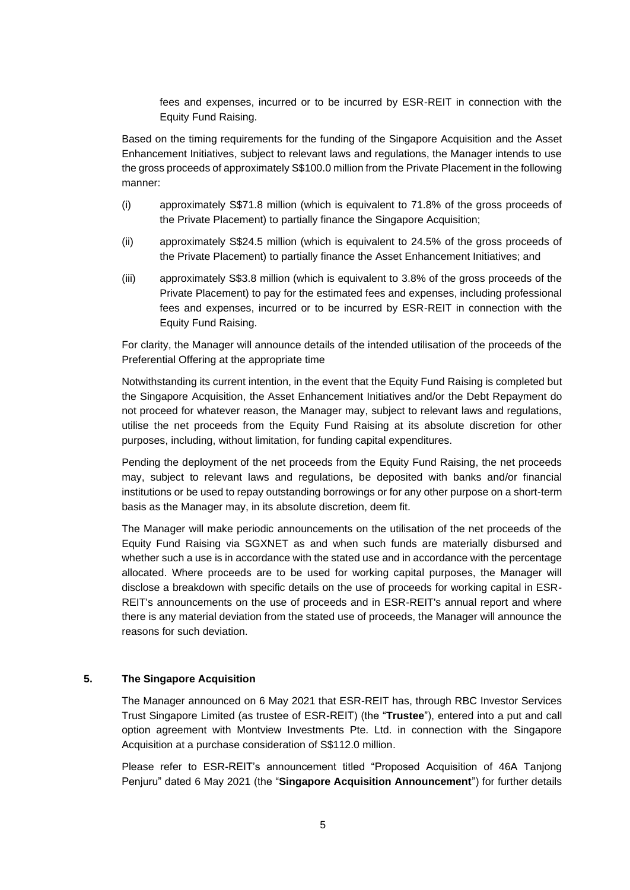fees and expenses, incurred or to be incurred by ESR-REIT in connection with the Equity Fund Raising.

Based on the timing requirements for the funding of the Singapore Acquisition and the Asset Enhancement Initiatives, subject to relevant laws and regulations, the Manager intends to use the gross proceeds of approximately S\$100.0 million from the Private Placement in the following manner:

- (i) approximately S\$71.8 million (which is equivalent to 71.8% of the gross proceeds of the Private Placement) to partially finance the Singapore Acquisition;
- (ii) approximately S\$24.5 million (which is equivalent to 24.5% of the gross proceeds of the Private Placement) to partially finance the Asset Enhancement Initiatives; and
- (iii) approximately S\$3.8 million (which is equivalent to 3.8% of the gross proceeds of the Private Placement) to pay for the estimated fees and expenses, including professional fees and expenses, incurred or to be incurred by ESR-REIT in connection with the Equity Fund Raising.

For clarity, the Manager will announce details of the intended utilisation of the proceeds of the Preferential Offering at the appropriate time

Notwithstanding its current intention, in the event that the Equity Fund Raising is completed but the Singapore Acquisition, the Asset Enhancement Initiatives and/or the Debt Repayment do not proceed for whatever reason, the Manager may, subject to relevant laws and regulations, utilise the net proceeds from the Equity Fund Raising at its absolute discretion for other purposes, including, without limitation, for funding capital expenditures.

Pending the deployment of the net proceeds from the Equity Fund Raising, the net proceeds may, subject to relevant laws and regulations, be deposited with banks and/or financial institutions or be used to repay outstanding borrowings or for any other purpose on a short-term basis as the Manager may, in its absolute discretion, deem fit.

The Manager will make periodic announcements on the utilisation of the net proceeds of the Equity Fund Raising via SGXNET as and when such funds are materially disbursed and whether such a use is in accordance with the stated use and in accordance with the percentage allocated. Where proceeds are to be used for working capital purposes, the Manager will disclose a breakdown with specific details on the use of proceeds for working capital in ESR-REIT's announcements on the use of proceeds and in ESR-REIT's annual report and where there is any material deviation from the stated use of proceeds, the Manager will announce the reasons for such deviation.

#### **5. The Singapore Acquisition**

The Manager announced on 6 May 2021 that ESR-REIT has, through RBC Investor Services Trust Singapore Limited (as trustee of ESR-REIT) (the "**Trustee**"), entered into a put and call option agreement with Montview Investments Pte. Ltd. in connection with the Singapore Acquisition at a purchase consideration of S\$112.0 million.

Please refer to ESR-REIT's announcement titled "Proposed Acquisition of 46A Tanjong Penjuru" dated 6 May 2021 (the "**Singapore Acquisition Announcement**") for further details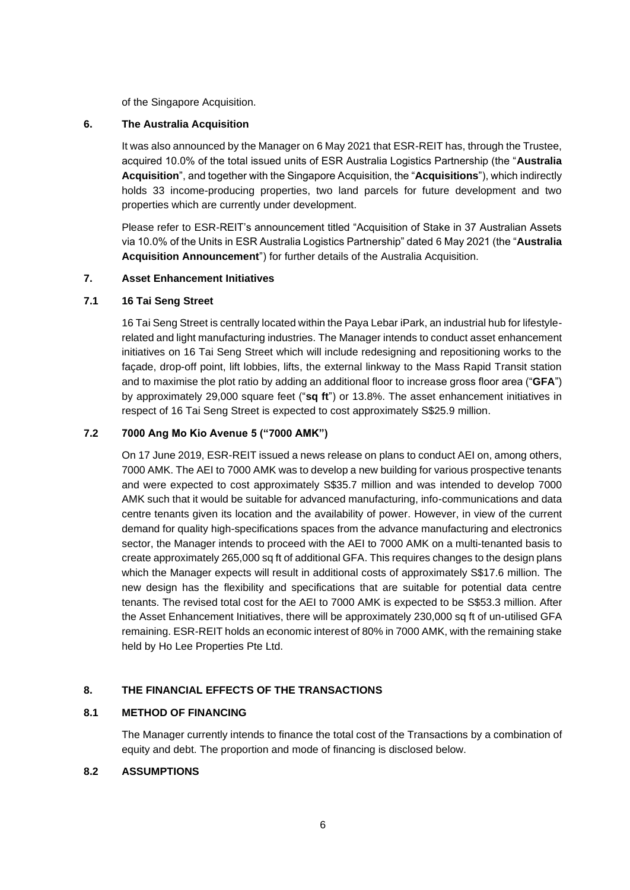of the Singapore Acquisition.

### **6. The Australia Acquisition**

It was also announced by the Manager on 6 May 2021 that ESR-REIT has, through the Trustee, acquired 10.0% of the total issued units of ESR Australia Logistics Partnership (the "**Australia Acquisition**", and together with the Singapore Acquisition, the "**Acquisitions**"), which indirectly holds 33 income-producing properties, two land parcels for future development and two properties which are currently under development.

Please refer to ESR-REIT's announcement titled "Acquisition of Stake in 37 Australian Assets via 10.0% of the Units in ESR Australia Logistics Partnership" dated 6 May 2021 (the "**Australia Acquisition Announcement**") for further details of the Australia Acquisition.

### **7. Asset Enhancement Initiatives**

### **7.1 16 Tai Seng Street**

16 Tai Seng Street is centrally located within the Paya Lebar iPark, an industrial hub for lifestylerelated and light manufacturing industries. The Manager intends to conduct asset enhancement initiatives on 16 Tai Seng Street which will include redesigning and repositioning works to the façade, drop-off point, lift lobbies, lifts, the external linkway to the Mass Rapid Transit station and to maximise the plot ratio by adding an additional floor to increase gross floor area ("**GFA**") by approximately 29,000 square feet ("**sq ft**") or 13.8%. The asset enhancement initiatives in respect of 16 Tai Seng Street is expected to cost approximately S\$25.9 million.

## **7.2 7000 Ang Mo Kio Avenue 5 ("7000 AMK")**

On 17 June 2019, ESR-REIT issued a news release on plans to conduct AEI on, among others, 7000 AMK. The AEI to 7000 AMK was to develop a new building for various prospective tenants and were expected to cost approximately S\$35.7 million and was intended to develop 7000 AMK such that it would be suitable for advanced manufacturing, info-communications and data centre tenants given its location and the availability of power. However, in view of the current demand for quality high-specifications spaces from the advance manufacturing and electronics sector, the Manager intends to proceed with the AEI to 7000 AMK on a multi-tenanted basis to create approximately 265,000 sq ft of additional GFA. This requires changes to the design plans which the Manager expects will result in additional costs of approximately S\$17.6 million. The new design has the flexibility and specifications that are suitable for potential data centre tenants. The revised total cost for the AEI to 7000 AMK is expected to be S\$53.3 million. After the Asset Enhancement Initiatives, there will be approximately 230,000 sq ft of un-utilised GFA remaining. ESR-REIT holds an economic interest of 80% in 7000 AMK, with the remaining stake held by Ho Lee Properties Pte Ltd.

## **8. THE FINANCIAL EFFECTS OF THE TRANSACTIONS**

## **8.1 METHOD OF FINANCING**

The Manager currently intends to finance the total cost of the Transactions by a combination of equity and debt. The proportion and mode of financing is disclosed below.

## **8.2 ASSUMPTIONS**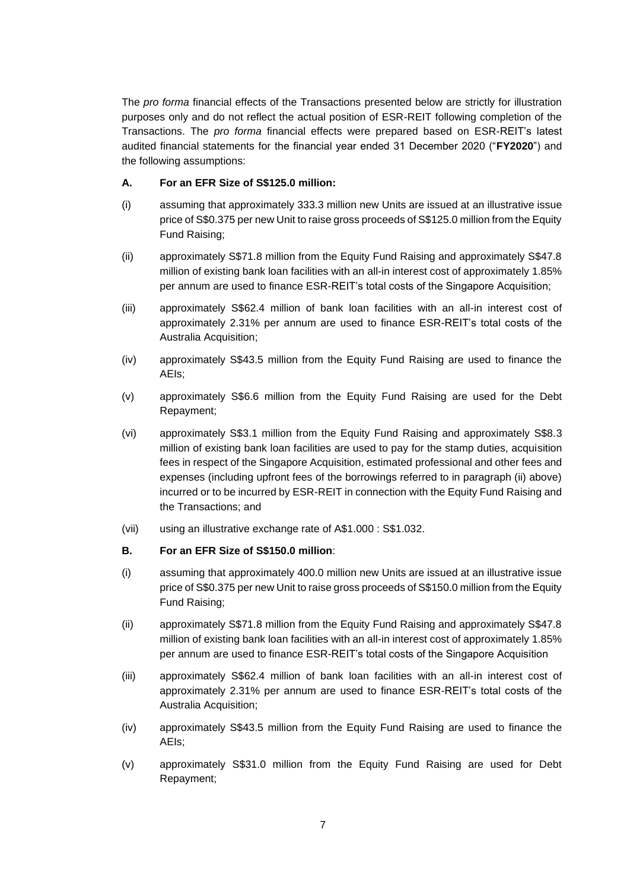The *pro forma* financial effects of the Transactions presented below are strictly for illustration purposes only and do not reflect the actual position of ESR-REIT following completion of the Transactions. The *pro forma* financial effects were prepared based on ESR-REIT's latest audited financial statements for the financial year ended 31 December 2020 ("**FY2020**") and the following assumptions:

## **A. For an EFR Size of S\$125.0 million:**

- (i) assuming that approximately 333.3 million new Units are issued at an illustrative issue price of S\$0.375 per new Unit to raise gross proceeds of S\$125.0 million from the Equity Fund Raising;
- (ii) approximately S\$71.8 million from the Equity Fund Raising and approximately S\$47.8 million of existing bank loan facilities with an all-in interest cost of approximately 1.85% per annum are used to finance ESR-REIT's total costs of the Singapore Acquisition;
- (iii) approximately S\$62.4 million of bank loan facilities with an all-in interest cost of approximately 2.31% per annum are used to finance ESR-REIT's total costs of the Australia Acquisition;
- (iv) approximately S\$43.5 million from the Equity Fund Raising are used to finance the AEIs;
- (v) approximately S\$6.6 million from the Equity Fund Raising are used for the Debt Repayment;
- (vi) approximately S\$3.1 million from the Equity Fund Raising and approximately S\$8.3 million of existing bank loan facilities are used to pay for the stamp duties, acquisition fees in respect of the Singapore Acquisition, estimated professional and other fees and expenses (including upfront fees of the borrowings referred to in paragraph (ii) above) incurred or to be incurred by ESR-REIT in connection with the Equity Fund Raising and the Transactions; and
- (vii) using an illustrative exchange rate of A\$1.000 : S\$1.032.

## **B. For an EFR Size of S\$150.0 million**:

- (i) assuming that approximately 400.0 million new Units are issued at an illustrative issue price of S\$0.375 per new Unit to raise gross proceeds of S\$150.0 million from the Equity Fund Raising;
- (ii) approximately S\$71.8 million from the Equity Fund Raising and approximately S\$47.8 million of existing bank loan facilities with an all-in interest cost of approximately 1.85% per annum are used to finance ESR-REIT's total costs of the Singapore Acquisition
- (iii) approximately S\$62.4 million of bank loan facilities with an all-in interest cost of approximately 2.31% per annum are used to finance ESR-REIT's total costs of the Australia Acquisition;
- (iv) approximately S\$43.5 million from the Equity Fund Raising are used to finance the AEIs;
- (v) approximately S\$31.0 million from the Equity Fund Raising are used for Debt Repayment;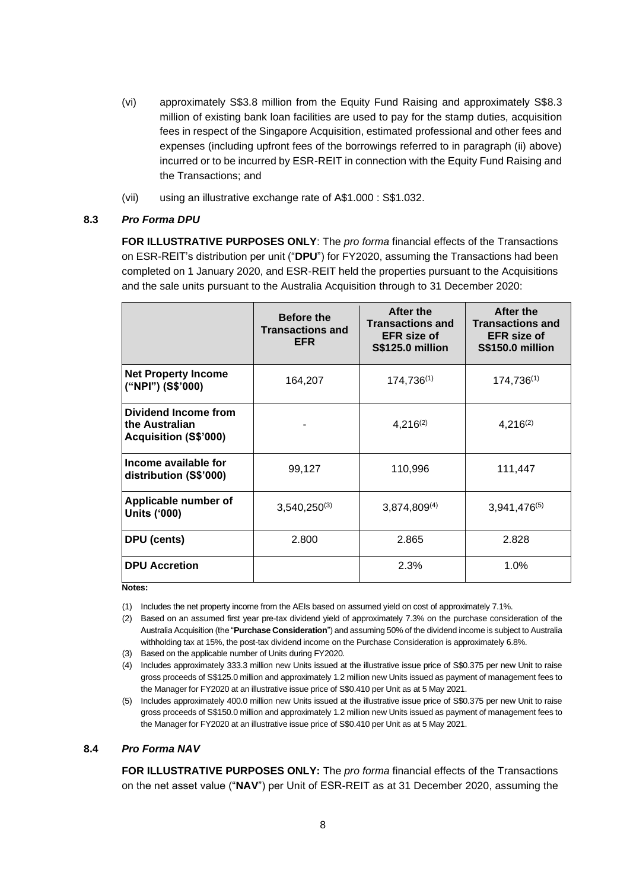- (vi) approximately S\$3.8 million from the Equity Fund Raising and approximately S\$8.3 million of existing bank loan facilities are used to pay for the stamp duties, acquisition fees in respect of the Singapore Acquisition, estimated professional and other fees and expenses (including upfront fees of the borrowings referred to in paragraph (ii) above) incurred or to be incurred by ESR-REIT in connection with the Equity Fund Raising and the Transactions; and
- (vii) using an illustrative exchange rate of A\$1.000 : S\$1.032.

## **8.3** *Pro Forma DPU*

**FOR ILLUSTRATIVE PURPOSES ONLY**: The *pro forma* financial effects of the Transactions on ESR-REIT's distribution per unit ("**DPU**") for FY2020, assuming the Transactions had been completed on 1 January 2020, and ESR-REIT held the properties pursuant to the Acquisitions and the sale units pursuant to the Australia Acquisition through to 31 December 2020:

|                                                                        | <b>Before the</b><br><b>Transactions and</b><br><b>EFR</b> | After the<br><b>Transactions and</b><br><b>EFR</b> size of<br><b>S\$125.0 million</b> | After the<br><b>Transactions and</b><br><b>EFR</b> size of<br><b>S\$150.0 million</b> |
|------------------------------------------------------------------------|------------------------------------------------------------|---------------------------------------------------------------------------------------|---------------------------------------------------------------------------------------|
| <b>Net Property Income</b><br>("NPI") (S\$'000)                        | 164,207                                                    | $174,736^{(1)}$                                                                       | $174,736^{(1)}$                                                                       |
| Dividend Income from<br>the Australian<br><b>Acquisition (S\$'000)</b> |                                                            | $4,216^{(2)}$                                                                         | $4,216^{(2)}$                                                                         |
| Income available for<br>distribution (S\$'000)                         | 99,127                                                     | 110,996                                                                               | 111,447                                                                               |
| Applicable number of<br><b>Units ('000)</b>                            | $3,540,250^{(3)}$                                          | $3,874,809^{(4)}$                                                                     | $3,941,476^{(5)}$                                                                     |
| DPU (cents)                                                            | 2.800                                                      | 2.865                                                                                 | 2.828                                                                                 |
| <b>DPU Accretion</b>                                                   |                                                            | 2.3%                                                                                  | 1.0%                                                                                  |

**Notes:**

(1) Includes the net property income from the AEIs based on assumed yield on cost of approximately 7.1%.

(2) Based on an assumed first year pre-tax dividend yield of approximately 7.3% on the purchase consideration of the Australia Acquisition (the "**Purchase Consideration**") and assuming 50% of the dividend income is subject to Australia withholding tax at 15%, the post-tax dividend income on the Purchase Consideration is approximately 6.8%.

- (3) Based on the applicable number of Units during FY2020.
- (4) Includes approximately 333.3 million new Units issued at the illustrative issue price of S\$0.375 per new Unit to raise gross proceeds of S\$125.0 million and approximately 1.2 million new Units issued as payment of management fees to the Manager for FY2020 at an illustrative issue price of S\$0.410 per Unit as at 5 May 2021.
- (5) Includes approximately 400.0 million new Units issued at the illustrative issue price of S\$0.375 per new Unit to raise gross proceeds of S\$150.0 million and approximately 1.2 million new Units issued as payment of management fees to the Manager for FY2020 at an illustrative issue price of S\$0.410 per Unit as at 5 May 2021.

## **8.4** *Pro Forma NAV*

**FOR ILLUSTRATIVE PURPOSES ONLY:** The *pro forma* financial effects of the Transactions on the net asset value ("**NAV**") per Unit of ESR-REIT as at 31 December 2020, assuming the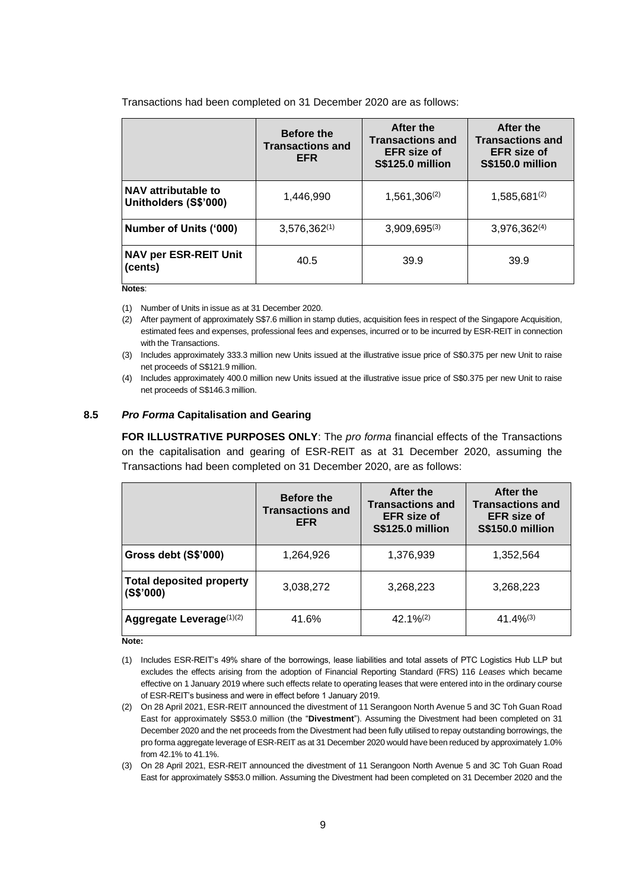Transactions had been completed on 31 December 2020 are as follows:

|                                              | <b>Before the</b><br><b>Transactions and</b><br><b>EFR</b> | After the<br><b>Transactions and</b><br><b>EFR</b> size of<br><b>S\$125.0 million</b> | After the<br><b>Transactions and</b><br><b>EFR</b> size of<br><b>S\$150.0 million</b> |
|----------------------------------------------|------------------------------------------------------------|---------------------------------------------------------------------------------------|---------------------------------------------------------------------------------------|
| NAV attributable to<br>Unitholders (S\$'000) | 1,446,990                                                  | $1,561,306^{(2)}$                                                                     | 1,585,681(2)                                                                          |
| Number of Units ('000)                       | $3,576,362^{(1)}$                                          | $3,909,695^{(3)}$                                                                     | $3,976,362^{(4)}$                                                                     |
| <b>NAV per ESR-REIT Unit</b><br>(cents)      | 40.5                                                       | 39.9                                                                                  | 39.9                                                                                  |

**Notes**:

(1) Number of Units in issue as at 31 December 2020.

(2) After payment of approximately S\$7.6 million in stamp duties, acquisition fees in respect of the Singapore Acquisition, estimated fees and expenses, professional fees and expenses, incurred or to be incurred by ESR-REIT in connection with the Transactions.

(3) Includes approximately 333.3 million new Units issued at the illustrative issue price of S\$0.375 per new Unit to raise net proceeds of S\$121.9 million.

(4) Includes approximately 400.0 million new Units issued at the illustrative issue price of S\$0.375 per new Unit to raise net proceeds of S\$146.3 million.

#### **8.5** *Pro Forma* **Capitalisation and Gearing**

**FOR ILLUSTRATIVE PURPOSES ONLY**: The *pro forma* financial effects of the Transactions on the capitalisation and gearing of ESR-REIT as at 31 December 2020, assuming the Transactions had been completed on 31 December 2020, are as follows:

|                                              | <b>Before the</b><br><b>Transactions and</b><br><b>EFR</b> | After the<br><b>Transactions and</b><br><b>EFR</b> size of<br><b>S\$125.0 million</b> | After the<br><b>Transactions and</b><br><b>EFR</b> size of<br><b>S\$150.0 million</b> |
|----------------------------------------------|------------------------------------------------------------|---------------------------------------------------------------------------------------|---------------------------------------------------------------------------------------|
| Gross debt (S\$'000)                         | 1,264,926                                                  | 1,376,939                                                                             | 1,352,564                                                                             |
| <b>Total deposited property</b><br>(S\$'000) | 3,038,272                                                  | 3,268,223                                                                             | 3,268,223                                                                             |
| Aggregate Leverage(1)(2)                     | 41.6%                                                      | $42.1\%^{(2)}$                                                                        | $41.4\%^{(3)}$                                                                        |

**Note:**

- (1) Includes ESR-REIT's 49% share of the borrowings, lease liabilities and total assets of PTC Logistics Hub LLP but excludes the effects arising from the adoption of Financial Reporting Standard (FRS) 116 *Leases* which became effective on 1 January 2019 where such effects relate to operating leases that were entered into in the ordinary course of ESR-REIT's business and were in effect before 1 January 2019.
- (2) On 28 April 2021, ESR-REIT announced the divestment of 11 Serangoon North Avenue 5 and 3C Toh Guan Road East for approximately S\$53.0 million (the "**Divestment**"). Assuming the Divestment had been completed on 31 December 2020 and the net proceeds from the Divestment had been fully utilised to repay outstanding borrowings, the pro forma aggregate leverage of ESR-REIT as at 31 December 2020 would have been reduced by approximately 1.0% from 42.1% to 41.1%.
- (3) On 28 April 2021, ESR-REIT announced the divestment of 11 Serangoon North Avenue 5 and 3C Toh Guan Road East for approximately S\$53.0 million. Assuming the Divestment had been completed on 31 December 2020 and the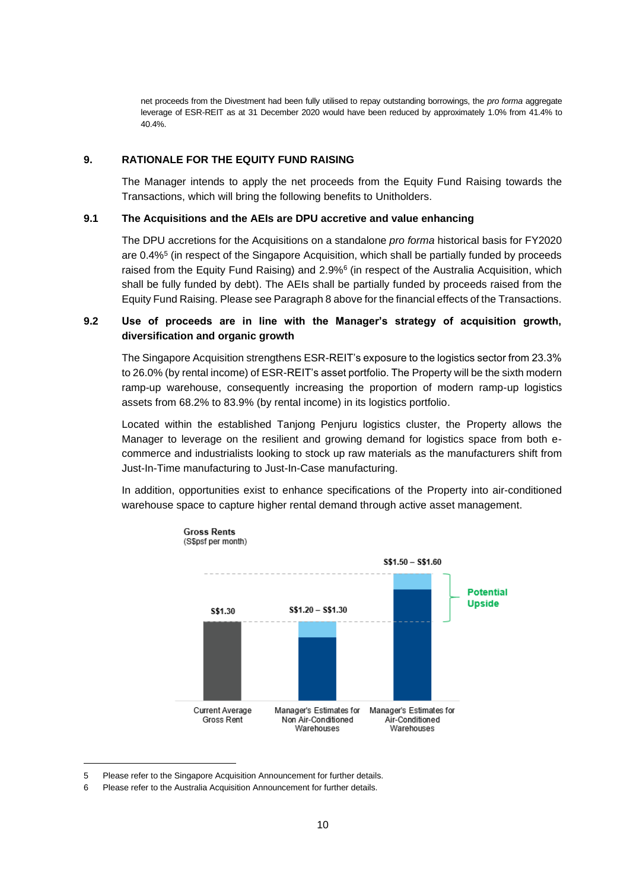net proceeds from the Divestment had been fully utilised to repay outstanding borrowings, the *pro forma* aggregate leverage of ESR-REIT as at 31 December 2020 would have been reduced by approximately 1.0% from 41.4% to 40.4%.

### **9. RATIONALE FOR THE EQUITY FUND RAISING**

The Manager intends to apply the net proceeds from the Equity Fund Raising towards the Transactions, which will bring the following benefits to Unitholders.

#### **9.1 The Acquisitions and the AEIs are DPU accretive and value enhancing**

The DPU accretions for the Acquisitions on a standalone *pro forma* historical basis for FY2020 are 0.4%<sup>5</sup> (in respect of the Singapore Acquisition, which shall be partially funded by proceeds raised from the Equity Fund Raising) and 2.9%<sup>6</sup> (in respect of the Australia Acquisition, which shall be fully funded by debt). The AEIs shall be partially funded by proceeds raised from the Equity Fund Raising. Please see Paragraph 8 above for the financial effects of the Transactions.

## **9.2 Use of proceeds are in line with the Manager's strategy of acquisition growth, diversification and organic growth**

The Singapore Acquisition strengthens ESR-REIT's exposure to the logistics sector from 23.3% to 26.0% (by rental income) of ESR-REIT's asset portfolio. The Property will be the sixth modern ramp-up warehouse, consequently increasing the proportion of modern ramp-up logistics assets from 68.2% to 83.9% (by rental income) in its logistics portfolio.

Located within the established Tanjong Penjuru logistics cluster, the Property allows the Manager to leverage on the resilient and growing demand for logistics space from both ecommerce and industrialists looking to stock up raw materials as the manufacturers shift from Just-In-Time manufacturing to Just-In-Case manufacturing.

In addition, opportunities exist to enhance specifications of the Property into air-conditioned warehouse space to capture higher rental demand through active asset management.



<sup>5</sup> Please refer to the Singapore Acquisition Announcement for further details.

<sup>6</sup> Please refer to the Australia Acquisition Announcement for further details.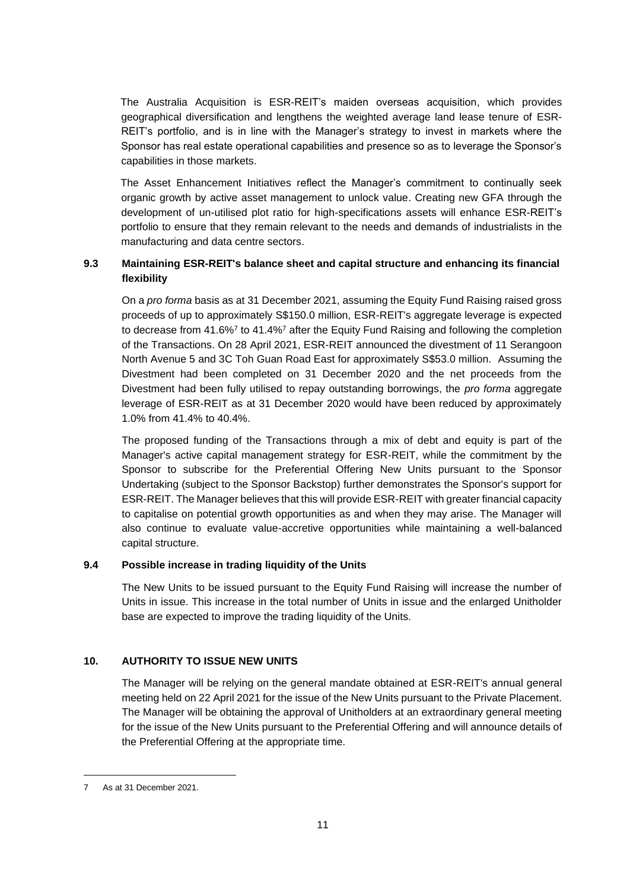The Australia Acquisition is ESR-REIT's maiden overseas acquisition, which provides geographical diversification and lengthens the weighted average land lease tenure of ESR-REIT's portfolio, and is in line with the Manager's strategy to invest in markets where the Sponsor has real estate operational capabilities and presence so as to leverage the Sponsor's capabilities in those markets.

The Asset Enhancement Initiatives reflect the Manager's commitment to continually seek organic growth by active asset management to unlock value. Creating new GFA through the development of un-utilised plot ratio for high-specifications assets will enhance ESR-REIT's portfolio to ensure that they remain relevant to the needs and demands of industrialists in the manufacturing and data centre sectors.

## **9.3 Maintaining ESR-REIT's balance sheet and capital structure and enhancing its financial flexibility**

<span id="page-10-0"></span>On a *pro forma* basis as at 31 December 2021, assuming the Equity Fund Raising raised gross proceeds of up to approximately S\$150.0 million, ESR-REIT's aggregate leverage is expected to decrease from 41.6%<sup>[7](#page-10-0)</sup> to 41.4%<sup>7</sup> after the Equity Fund Raising and following the completion of the Transactions. On 28 April 2021, ESR-REIT announced the divestment of 11 Serangoon North Avenue 5 and 3C Toh Guan Road East for approximately S\$53.0 million. Assuming the Divestment had been completed on 31 December 2020 and the net proceeds from the Divestment had been fully utilised to repay outstanding borrowings, the *pro forma* aggregate leverage of ESR-REIT as at 31 December 2020 would have been reduced by approximately 1.0% from 41.4% to 40.4%.

The proposed funding of the Transactions through a mix of debt and equity is part of the Manager's active capital management strategy for ESR-REIT, while the commitment by the Sponsor to subscribe for the Preferential Offering New Units pursuant to the Sponsor Undertaking (subject to the Sponsor Backstop) further demonstrates the Sponsor's support for ESR-REIT. The Manager believes that this will provide ESR-REIT with greater financial capacity to capitalise on potential growth opportunities as and when they may arise. The Manager will also continue to evaluate value-accretive opportunities while maintaining a well-balanced capital structure.

## **9.4 Possible increase in trading liquidity of the Units**

The New Units to be issued pursuant to the Equity Fund Raising will increase the number of Units in issue. This increase in the total number of Units in issue and the enlarged Unitholder base are expected to improve the trading liquidity of the Units.

## **10. AUTHORITY TO ISSUE NEW UNITS**

The Manager will be relying on the general mandate obtained at ESR-REIT's annual general meeting held on 22 April 2021 for the issue of the New Units pursuant to the Private Placement. The Manager will be obtaining the approval of Unitholders at an extraordinary general meeting for the issue of the New Units pursuant to the Preferential Offering and will announce details of the Preferential Offering at the appropriate time.

<sup>7</sup> As at 31 December 2021.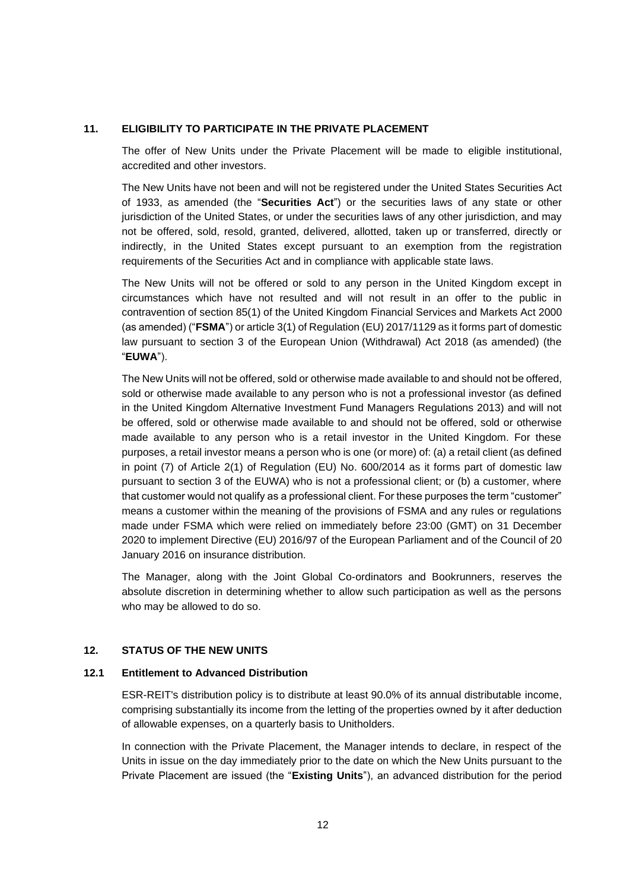### **11. ELIGIBILITY TO PARTICIPATE IN THE PRIVATE PLACEMENT**

The offer of New Units under the Private Placement will be made to eligible institutional, accredited and other investors.

The New Units have not been and will not be registered under the United States Securities Act of 1933, as amended (the "**Securities Act**") or the securities laws of any state or other jurisdiction of the United States, or under the securities laws of any other jurisdiction, and may not be offered, sold, resold, granted, delivered, allotted, taken up or transferred, directly or indirectly, in the United States except pursuant to an exemption from the registration requirements of the Securities Act and in compliance with applicable state laws.

The New Units will not be offered or sold to any person in the United Kingdom except in circumstances which have not resulted and will not result in an offer to the public in contravention of section 85(1) of the United Kingdom Financial Services and Markets Act 2000 (as amended) ("**FSMA**") or article 3(1) of Regulation (EU) 2017/1129 as it forms part of domestic law pursuant to section 3 of the European Union (Withdrawal) Act 2018 (as amended) (the "**EUWA**").

The New Units will not be offered, sold or otherwise made available to and should not be offered, sold or otherwise made available to any person who is not a professional investor (as defined in the United Kingdom Alternative Investment Fund Managers Regulations 2013) and will not be offered, sold or otherwise made available to and should not be offered, sold or otherwise made available to any person who is a retail investor in the United Kingdom. For these purposes, a retail investor means a person who is one (or more) of: (a) a retail client (as defined in point (7) of Article 2(1) of Regulation (EU) No. 600/2014 as it forms part of domestic law pursuant to section 3 of the EUWA) who is not a professional client; or (b) a customer, where that customer would not qualify as a professional client. For these purposes the term "customer" means a customer within the meaning of the provisions of FSMA and any rules or regulations made under FSMA which were relied on immediately before 23:00 (GMT) on 31 December 2020 to implement Directive (EU) 2016/97 of the European Parliament and of the Council of 20 January 2016 on insurance distribution.

The Manager, along with the Joint Global Co-ordinators and Bookrunners, reserves the absolute discretion in determining whether to allow such participation as well as the persons who may be allowed to do so.

## **12. STATUS OF THE NEW UNITS**

## **12.1 Entitlement to Advanced Distribution**

ESR-REIT's distribution policy is to distribute at least 90.0% of its annual distributable income, comprising substantially its income from the letting of the properties owned by it after deduction of allowable expenses, on a quarterly basis to Unitholders.

In connection with the Private Placement, the Manager intends to declare, in respect of the Units in issue on the day immediately prior to the date on which the New Units pursuant to the Private Placement are issued (the "**Existing Units**"), an advanced distribution for the period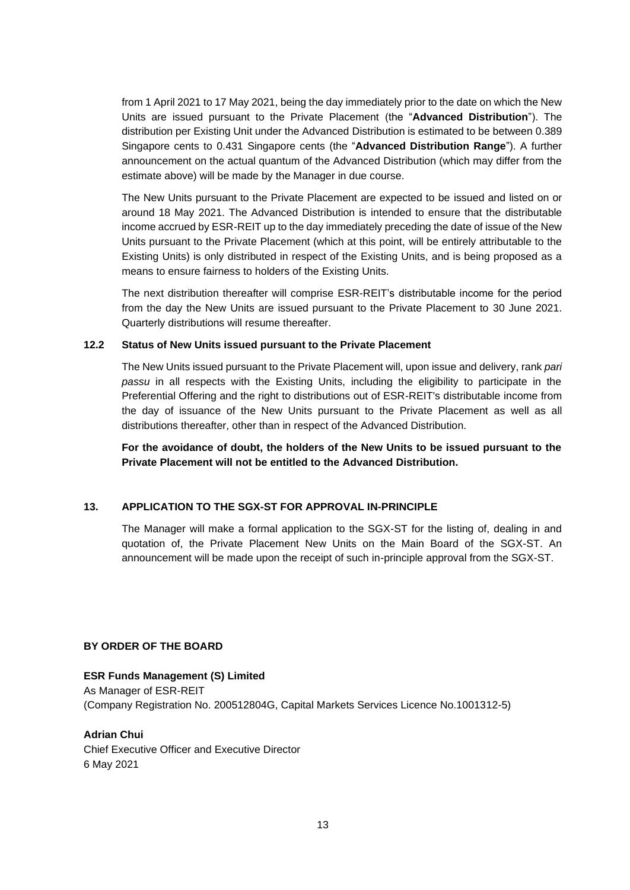from 1 April 2021 to 17 May 2021, being the day immediately prior to the date on which the New Units are issued pursuant to the Private Placement (the "**Advanced Distribution**"). The distribution per Existing Unit under the Advanced Distribution is estimated to be between 0.389 Singapore cents to 0.431 Singapore cents (the "**Advanced Distribution Range**"). A further announcement on the actual quantum of the Advanced Distribution (which may differ from the estimate above) will be made by the Manager in due course.

The New Units pursuant to the Private Placement are expected to be issued and listed on or around 18 May 2021. The Advanced Distribution is intended to ensure that the distributable income accrued by ESR-REIT up to the day immediately preceding the date of issue of the New Units pursuant to the Private Placement (which at this point, will be entirely attributable to the Existing Units) is only distributed in respect of the Existing Units, and is being proposed as a means to ensure fairness to holders of the Existing Units.

The next distribution thereafter will comprise ESR-REIT's distributable income for the period from the day the New Units are issued pursuant to the Private Placement to 30 June 2021. Quarterly distributions will resume thereafter.

### **12.2 Status of New Units issued pursuant to the Private Placement**

The New Units issued pursuant to the Private Placement will, upon issue and delivery, rank *pari passu* in all respects with the Existing Units, including the eligibility to participate in the Preferential Offering and the right to distributions out of ESR-REIT's distributable income from the day of issuance of the New Units pursuant to the Private Placement as well as all distributions thereafter, other than in respect of the Advanced Distribution.

**For the avoidance of doubt, the holders of the New Units to be issued pursuant to the Private Placement will not be entitled to the Advanced Distribution.**

## **13. APPLICATION TO THE SGX-ST FOR APPROVAL IN-PRINCIPLE**

The Manager will make a formal application to the SGX-ST for the listing of, dealing in and quotation of, the Private Placement New Units on the Main Board of the SGX-ST. An announcement will be made upon the receipt of such in-principle approval from the SGX-ST.

## **BY ORDER OF THE BOARD**

## **ESR Funds Management (S) Limited**

As Manager of ESR-REIT (Company Registration No. 200512804G, Capital Markets Services Licence No.1001312-5)

## **Adrian Chui**

Chief Executive Officer and Executive Director 6 May 2021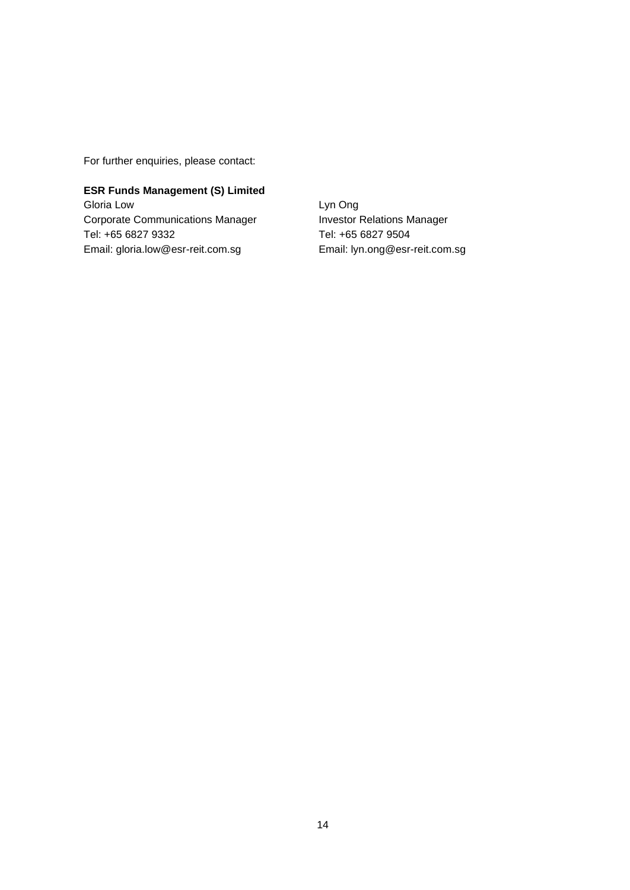For further enquiries, please contact:

# **ESR Funds Management (S) Limited** Gloria Low Corporate Communications Manager

Tel: +65 6827 9332 Email: gloria.low@esr-reit.com.sg Lyn Ong Investor Relations Manager Tel: +65 6827 9504 Email: lyn.ong@esr-reit.com.sg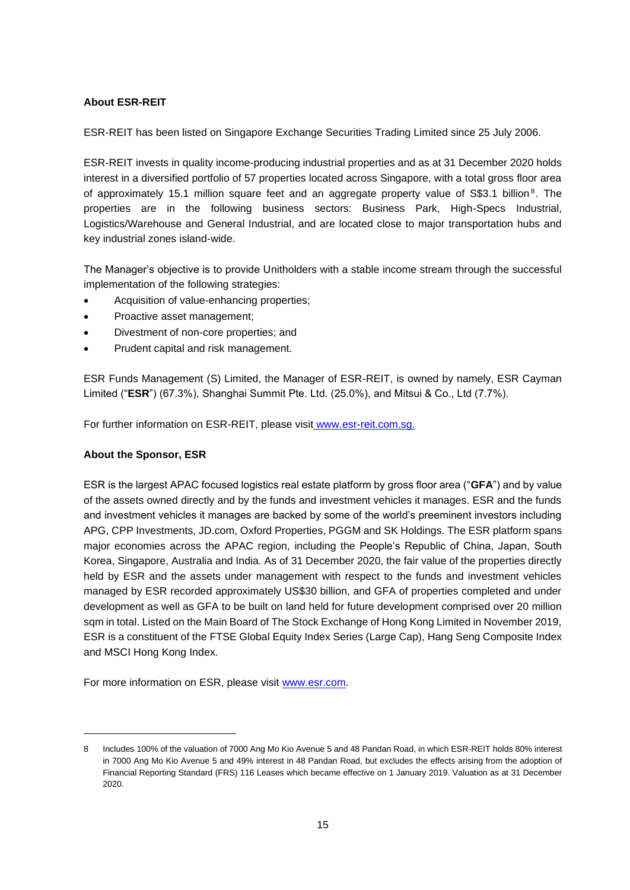## **About ESR-REIT**

ESR-REIT has been listed on Singapore Exchange Securities Trading Limited since 25 July 2006.

ESR-REIT invests in quality income-producing industrial properties and as at 31 December 2020 holds interest in a diversified portfolio of 57 properties located across Singapore, with a total gross floor area of approximately 15.1 million square feet and an aggregate property value of S\$3.1 billion<sup>8</sup>. The properties are in the following business sectors: Business Park, High-Specs Industrial, Logistics/Warehouse and General Industrial, and are located close to major transportation hubs and key industrial zones island-wide.

The Manager's objective is to provide Unitholders with a stable income stream through the successful implementation of the following strategies:

- Acquisition of value-enhancing properties;
- Proactive asset management;
- Divestment of non-core properties; and
- Prudent capital and risk management.

ESR Funds Management (S) Limited, the Manager of ESR-REIT, is owned by namely, ESR Cayman Limited ("**ESR**") (67.3%), Shanghai Summit Pte. Ltd. (25.0%), and Mitsui & Co., Ltd (7.7%).

For further information on ESR-REIT, please visit [www.esr-reit.com.sg.](http://www.esr-reit.com.sg/)

## **About the Sponsor, ESR**

ESR is the largest APAC focused logistics real estate platform by gross floor area ("**GFA**") and by value of the assets owned directly and by the funds and investment vehicles it manages. ESR and the funds and investment vehicles it manages are backed by some of the world's preeminent investors including APG, CPP Investments, JD.com, Oxford Properties, PGGM and SK Holdings. The ESR platform spans major economies across the APAC region, including the People's Republic of China, Japan, South Korea, Singapore, Australia and India. As of 31 December 2020, the fair value of the properties directly held by ESR and the assets under management with respect to the funds and investment vehicles managed by ESR recorded approximately US\$30 billion, and GFA of properties completed and under development as well as GFA to be built on land held for future development comprised over 20 million sqm in total. Listed on the Main Board of The Stock Exchange of Hong Kong Limited in November 2019, ESR is a constituent of the FTSE Global Equity Index Series (Large Cap), Hang Seng Composite Index and MSCI Hong Kong Index.

For more information on ESR, please visit [www.esr.com.](http://www.esr.com/)

<sup>8</sup> Includes 100% of the valuation of 7000 Ang Mo Kio Avenue 5 and 48 Pandan Road, in which ESR-REIT holds 80% interest in 7000 Ang Mo Kio Avenue 5 and 49% interest in 48 Pandan Road, but excludes the effects arising from the adoption of Financial Reporting Standard (FRS) 116 Leases which became effective on 1 January 2019. Valuation as at 31 December 2020.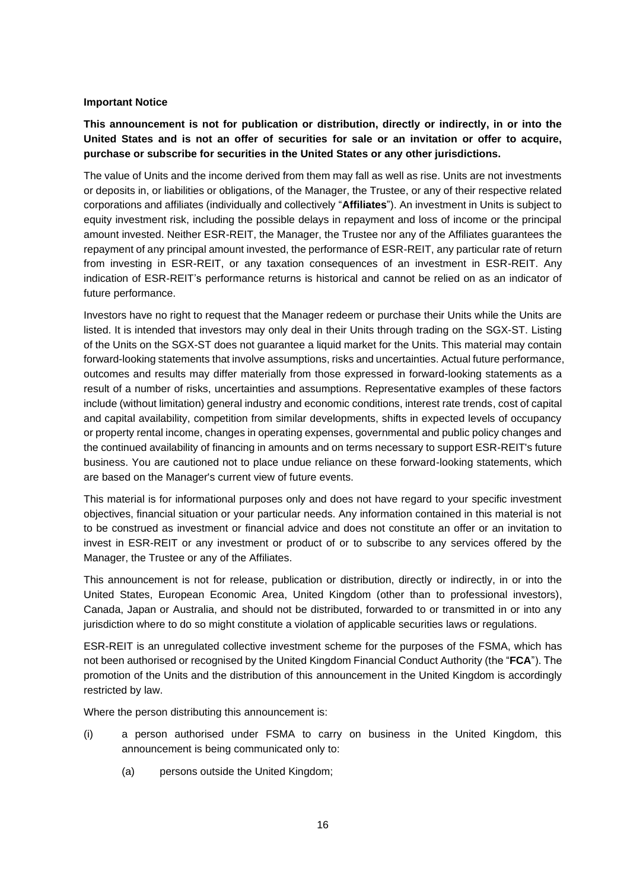#### **Important Notice**

**This announcement is not for publication or distribution, directly or indirectly, in or into the United States and is not an offer of securities for sale or an invitation or offer to acquire, purchase or subscribe for securities in the United States or any other jurisdictions.**

The value of Units and the income derived from them may fall as well as rise. Units are not investments or deposits in, or liabilities or obligations, of the Manager, the Trustee, or any of their respective related corporations and affiliates (individually and collectively "**Affiliates**"). An investment in Units is subject to equity investment risk, including the possible delays in repayment and loss of income or the principal amount invested. Neither ESR-REIT, the Manager, the Trustee nor any of the Affiliates guarantees the repayment of any principal amount invested, the performance of ESR-REIT, any particular rate of return from investing in ESR-REIT, or any taxation consequences of an investment in ESR-REIT. Any indication of ESR-REIT's performance returns is historical and cannot be relied on as an indicator of future performance.

Investors have no right to request that the Manager redeem or purchase their Units while the Units are listed. It is intended that investors may only deal in their Units through trading on the SGX-ST. Listing of the Units on the SGX-ST does not guarantee a liquid market for the Units. This material may contain forward-looking statements that involve assumptions, risks and uncertainties. Actual future performance, outcomes and results may differ materially from those expressed in forward-looking statements as a result of a number of risks, uncertainties and assumptions. Representative examples of these factors include (without limitation) general industry and economic conditions, interest rate trends, cost of capital and capital availability, competition from similar developments, shifts in expected levels of occupancy or property rental income, changes in operating expenses, governmental and public policy changes and the continued availability of financing in amounts and on terms necessary to support ESR-REIT's future business. You are cautioned not to place undue reliance on these forward-looking statements, which are based on the Manager's current view of future events.

This material is for informational purposes only and does not have regard to your specific investment objectives, financial situation or your particular needs. Any information contained in this material is not to be construed as investment or financial advice and does not constitute an offer or an invitation to invest in ESR-REIT or any investment or product of or to subscribe to any services offered by the Manager, the Trustee or any of the Affiliates.

This announcement is not for release, publication or distribution, directly or indirectly, in or into the United States, European Economic Area, United Kingdom (other than to professional investors), Canada, Japan or Australia, and should not be distributed, forwarded to or transmitted in or into any jurisdiction where to do so might constitute a violation of applicable securities laws or regulations.

ESR-REIT is an unregulated collective investment scheme for the purposes of the FSMA, which has not been authorised or recognised by the United Kingdom Financial Conduct Authority (the "**FCA**"). The promotion of the Units and the distribution of this announcement in the United Kingdom is accordingly restricted by law.

Where the person distributing this announcement is:

- (i) a person authorised under FSMA to carry on business in the United Kingdom, this announcement is being communicated only to:
	- (a) persons outside the United Kingdom;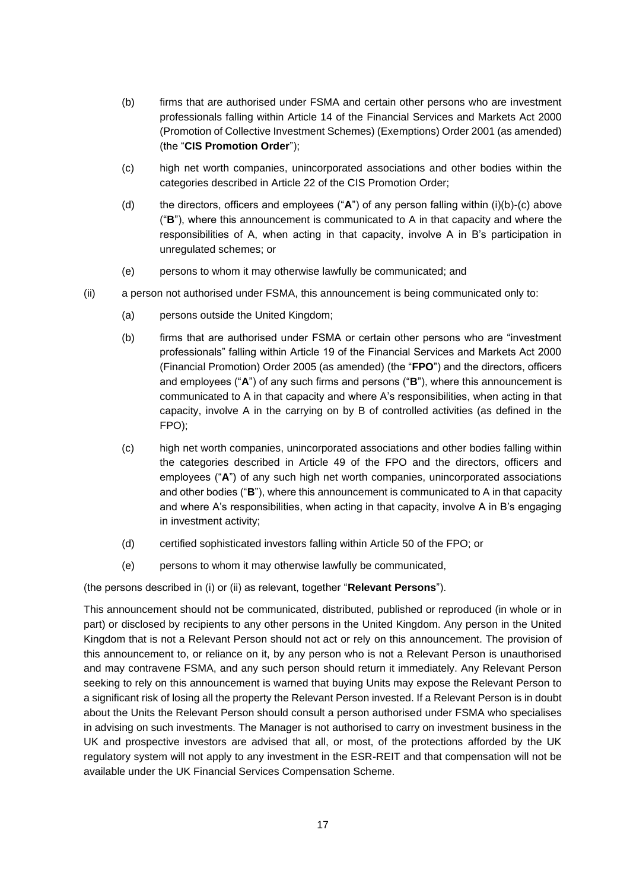- (b) firms that are authorised under FSMA and certain other persons who are investment professionals falling within Article 14 of the Financial Services and Markets Act 2000 (Promotion of Collective Investment Schemes) (Exemptions) Order 2001 (as amended) (the "**CIS Promotion Order**");
- (c) high net worth companies, unincorporated associations and other bodies within the categories described in Article 22 of the CIS Promotion Order;
- (d) the directors, officers and employees ("**A**") of any person falling within (i)(b)-(c) above ("**B**"), where this announcement is communicated to A in that capacity and where the responsibilities of A, when acting in that capacity, involve A in B's participation in unregulated schemes; or
- (e) persons to whom it may otherwise lawfully be communicated; and
- (ii) a person not authorised under FSMA, this announcement is being communicated only to:
	- (a) persons outside the United Kingdom;
	- (b) firms that are authorised under FSMA or certain other persons who are "investment professionals" falling within Article 19 of the Financial Services and Markets Act 2000 (Financial Promotion) Order 2005 (as amended) (the "**FPO**") and the directors, officers and employees ("**A**") of any such firms and persons ("**B**"), where this announcement is communicated to A in that capacity and where A's responsibilities, when acting in that capacity, involve A in the carrying on by B of controlled activities (as defined in the FPO);
	- (c) high net worth companies, unincorporated associations and other bodies falling within the categories described in Article 49 of the FPO and the directors, officers and employees ("**A**") of any such high net worth companies, unincorporated associations and other bodies ("**B**"), where this announcement is communicated to A in that capacity and where A's responsibilities, when acting in that capacity, involve A in B's engaging in investment activity;
	- (d) certified sophisticated investors falling within Article 50 of the FPO; or
	- (e) persons to whom it may otherwise lawfully be communicated,

(the persons described in (i) or (ii) as relevant, together "**Relevant Persons**").

This announcement should not be communicated, distributed, published or reproduced (in whole or in part) or disclosed by recipients to any other persons in the United Kingdom. Any person in the United Kingdom that is not a Relevant Person should not act or rely on this announcement. The provision of this announcement to, or reliance on it, by any person who is not a Relevant Person is unauthorised and may contravene FSMA, and any such person should return it immediately. Any Relevant Person seeking to rely on this announcement is warned that buying Units may expose the Relevant Person to a significant risk of losing all the property the Relevant Person invested. If a Relevant Person is in doubt about the Units the Relevant Person should consult a person authorised under FSMA who specialises in advising on such investments. The Manager is not authorised to carry on investment business in the UK and prospective investors are advised that all, or most, of the protections afforded by the UK regulatory system will not apply to any investment in the ESR-REIT and that compensation will not be available under the UK Financial Services Compensation Scheme.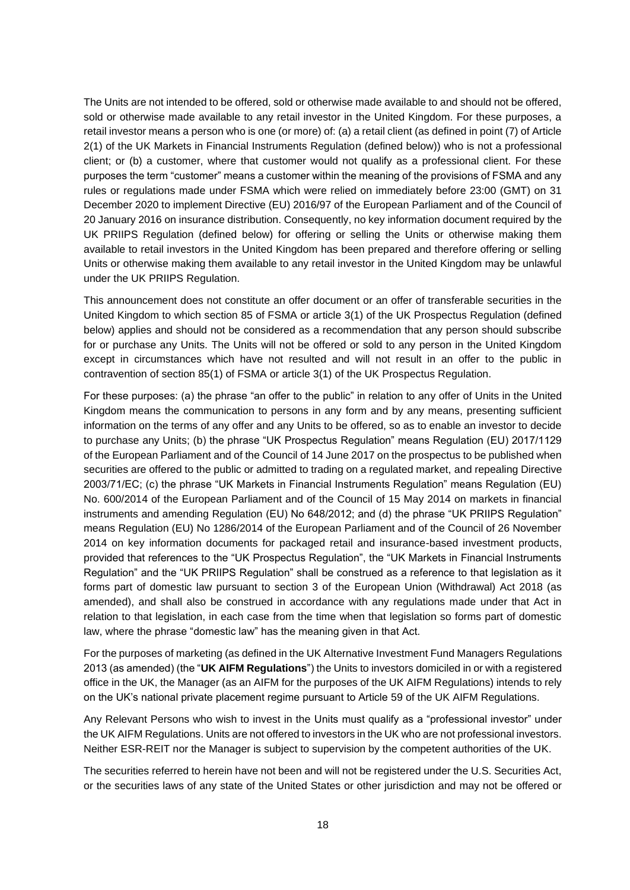The Units are not intended to be offered, sold or otherwise made available to and should not be offered, sold or otherwise made available to any retail investor in the United Kingdom. For these purposes, a retail investor means a person who is one (or more) of: (a) a retail client (as defined in point (7) of Article 2(1) of the UK Markets in Financial Instruments Regulation (defined below)) who is not a professional client; or (b) a customer, where that customer would not qualify as a professional client. For these purposes the term "customer" means a customer within the meaning of the provisions of FSMA and any rules or regulations made under FSMA which were relied on immediately before 23:00 (GMT) on 31 December 2020 to implement Directive (EU) 2016/97 of the European Parliament and of the Council of 20 January 2016 on insurance distribution. Consequently, no key information document required by the UK PRIIPS Regulation (defined below) for offering or selling the Units or otherwise making them available to retail investors in the United Kingdom has been prepared and therefore offering or selling Units or otherwise making them available to any retail investor in the United Kingdom may be unlawful under the UK PRIIPS Regulation.

This announcement does not constitute an offer document or an offer of transferable securities in the United Kingdom to which section 85 of FSMA or article 3(1) of the UK Prospectus Regulation (defined below) applies and should not be considered as a recommendation that any person should subscribe for or purchase any Units. The Units will not be offered or sold to any person in the United Kingdom except in circumstances which have not resulted and will not result in an offer to the public in contravention of section 85(1) of FSMA or article 3(1) of the UK Prospectus Regulation.

For these purposes: (a) the phrase "an offer to the public" in relation to any offer of Units in the United Kingdom means the communication to persons in any form and by any means, presenting sufficient information on the terms of any offer and any Units to be offered, so as to enable an investor to decide to purchase any Units; (b) the phrase "UK Prospectus Regulation" means Regulation (EU) 2017/1129 of the European Parliament and of the Council of 14 June 2017 on the prospectus to be published when securities are offered to the public or admitted to trading on a regulated market, and repealing Directive 2003/71/EC; (c) the phrase "UK Markets in Financial Instruments Regulation" means Regulation (EU) No. 600/2014 of the European Parliament and of the Council of 15 May 2014 on markets in financial instruments and amending Regulation (EU) No 648/2012; and (d) the phrase "UK PRIIPS Regulation" means Regulation (EU) No 1286/2014 of the European Parliament and of the Council of 26 November 2014 on key information documents for packaged retail and insurance-based investment products, provided that references to the "UK Prospectus Regulation", the "UK Markets in Financial Instruments Regulation" and the "UK PRIIPS Regulation" shall be construed as a reference to that legislation as it forms part of domestic law pursuant to section 3 of the European Union (Withdrawal) Act 2018 (as amended), and shall also be construed in accordance with any regulations made under that Act in relation to that legislation, in each case from the time when that legislation so forms part of domestic law, where the phrase "domestic law" has the meaning given in that Act.

For the purposes of marketing (as defined in the UK Alternative Investment Fund Managers Regulations 2013 (as amended) (the "**UK AIFM Regulations**") the Units to investors domiciled in or with a registered office in the UK, the Manager (as an AIFM for the purposes of the UK AIFM Regulations) intends to rely on the UK's national private placement regime pursuant to Article 59 of the UK AIFM Regulations.

Any Relevant Persons who wish to invest in the Units must qualify as a "professional investor" under the UK AIFM Regulations. Units are not offered to investors in the UK who are not professional investors. Neither ESR-REIT nor the Manager is subject to supervision by the competent authorities of the UK.

The securities referred to herein have not been and will not be registered under the U.S. Securities Act, or the securities laws of any state of the United States or other jurisdiction and may not be offered or